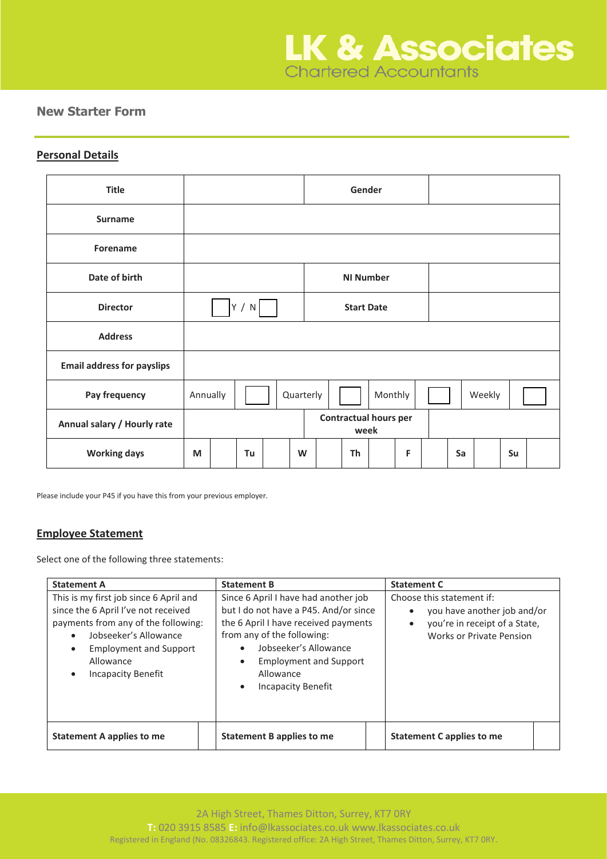# **New Starter Form**

## **Personal Details**

| <b>Title</b>                      |                                      |  |    |  |                   |  | Gender           |         |   |    |        |    |  |
|-----------------------------------|--------------------------------------|--|----|--|-------------------|--|------------------|---------|---|----|--------|----|--|
| <b>Surname</b>                    |                                      |  |    |  |                   |  |                  |         |   |    |        |    |  |
| Forename                          |                                      |  |    |  |                   |  |                  |         |   |    |        |    |  |
| Date of birth                     |                                      |  |    |  |                   |  | <b>NI Number</b> |         |   |    |        |    |  |
| <b>Director</b>                   | Y / N                                |  |    |  | <b>Start Date</b> |  |                  |         |   |    |        |    |  |
| <b>Address</b>                    |                                      |  |    |  |                   |  |                  |         |   |    |        |    |  |
| <b>Email address for payslips</b> |                                      |  |    |  |                   |  |                  |         |   |    |        |    |  |
| Pay frequency                     | Annually                             |  |    |  | Quarterly         |  |                  | Monthly |   |    | Weekly |    |  |
| Annual salary / Hourly rate       | <b>Contractual hours per</b><br>week |  |    |  |                   |  |                  |         |   |    |        |    |  |
| <b>Working days</b>               | M                                    |  | Tu |  | W                 |  | Th               |         | F | Sa |        | Su |  |

Please include your P45 if you have this from your previous employer.

# **Employee Statement**

Select one of the following three statements:

| <b>Statement A</b>                                                                                                                                                                                                | <b>Statement B</b>                                                                                                                                                                                                                                                                      | <b>Statement C</b>                                                                                                                 |  |  |  |  |  |
|-------------------------------------------------------------------------------------------------------------------------------------------------------------------------------------------------------------------|-----------------------------------------------------------------------------------------------------------------------------------------------------------------------------------------------------------------------------------------------------------------------------------------|------------------------------------------------------------------------------------------------------------------------------------|--|--|--|--|--|
| This is my first job since 6 April and<br>since the 6 April I've not received<br>payments from any of the following:<br>Jobseeker's Allowance<br><b>Employment and Support</b><br>Allowance<br>Incapacity Benefit | Since 6 April I have had another job<br>but I do not have a P45. And/or since<br>the 6 April I have received payments<br>from any of the following:<br>Jobseeker's Allowance<br>$\bullet$<br><b>Employment and Support</b><br>$\bullet$<br>Allowance<br>Incapacity Benefit<br>$\bullet$ | Choose this statement if:<br>you have another job and/or<br>you're in receipt of a State,<br>$\bullet$<br>Works or Private Pension |  |  |  |  |  |
| Statement A applies to me                                                                                                                                                                                         | Statement B applies to me                                                                                                                                                                                                                                                               | Statement C applies to me                                                                                                          |  |  |  |  |  |

2A High Street, Thames Ditton, Surrey, KT7 0RY

**T:** 020 3915 8585 **E:** info@lkassociates.co.uk www.lkassociates.co.uk

Registered in England (No. 08326843. Registered office: 2A High Street, Thames Ditton, Surrey, KT7 0RY.